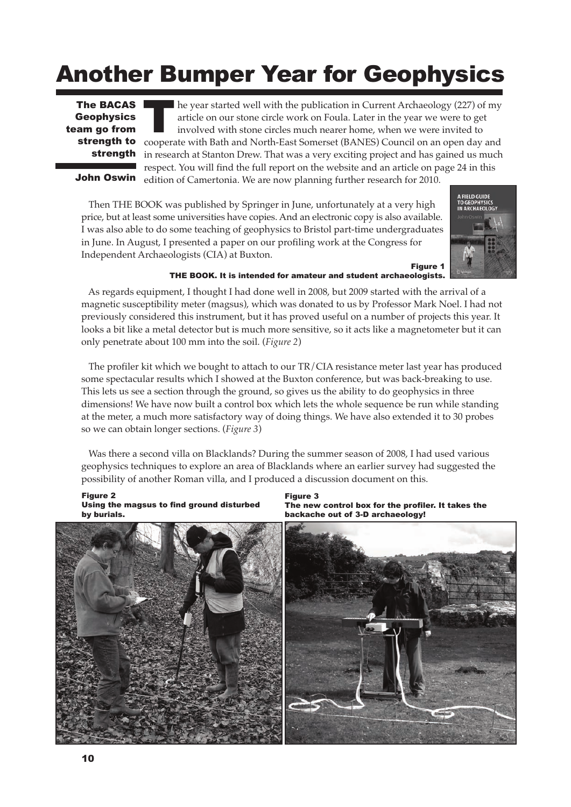# Another Bumper Year for Geophysics

**Geophysics** team go from strength

he year started well with the publication in Current Archaeology (227) of my article on our stone circle work on Foula. Later in the year we were to get involved with stone circles much nearer home, when we were invited to **The BACAS** The year started well with the publication in Current Archaeology (227) of my article on our stone circle work on Foula. Later in the year we were to get involved with stone circles much nearer home, when we we in research at Stanton Drew. That was a very exciting project and has gained us much respect. You will find the full report on the website and an article on page 24 in this edition of Camertonia. We are now planning further research for 2010.

John Oswin

Then THE BOOK was published by Springer in June, unfortunately at a very high price, but at least some universities have copies. And an electronic copy is also available. I was also able to do some teaching of geophysics to Bristol part-time undergraduates in June. In August, I presented a paper on our profiling work at the Congress for Independent Archaeologists (CIA) at Buxton.



### Figure 1 THE BOOK. It is intended for amateur and student archaeologists.

As regards equipment, I thought I had done well in 2008, but 2009 started with the arrival of a magnetic susceptibility meter (magsus), which was donated to us by Professor Mark Noel. I had not previously considered this instrument, but it has proved useful on a number of projects this year. It looks a bit like a metal detector but is much more sensitive, so it acts like a magnetometer but it can only penetrate about 100 mm into the soil. (*Figure 2*)

The profiler kit which we bought to attach to our TR/CIA resistance meter last year has produced some spectacular results which I showed at the Buxton conference, but was back-breaking to use. This lets us see a section through the ground, so gives us the ability to do geophysics in three dimensions! We have now built a control box which lets the whole sequence be run while standing at the meter, a much more satisfactory way of doing things. We have also extended it to 30 probes so we can obtain longer sections. (*Figure 3*)

Was there a second villa on Blacklands? During the summer season of 2008, I had used various geophysics techniques to explore an area of Blacklands where an earlier survey had suggested the possibility of another Roman villa, and I produced a discussion document on this.

#### Figure 2 Using the magsus to find ground disturbed by burials.

Figure 3 The new control box for the profiler. It takes the backache out of 3-D archaeology!